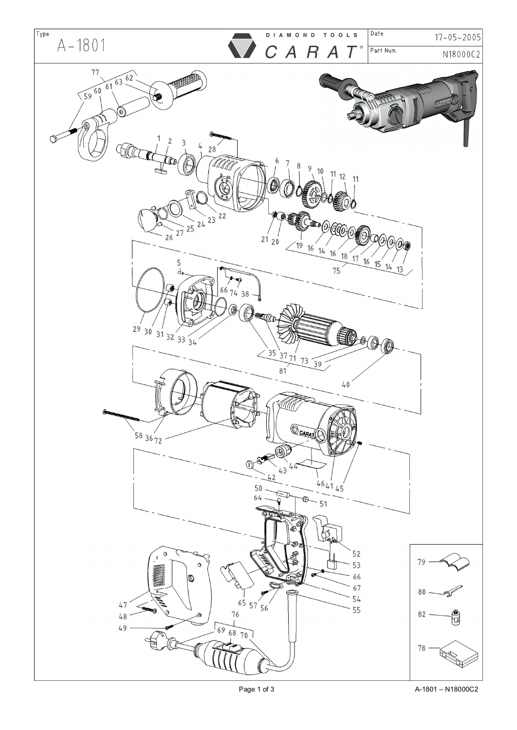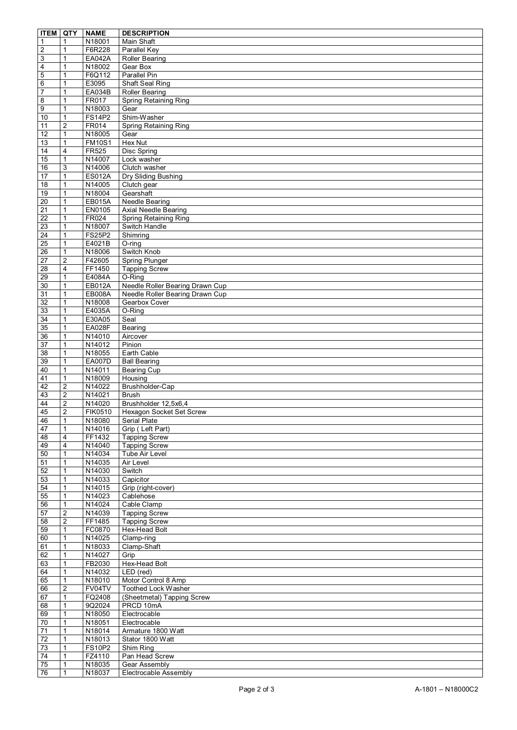| <b>ITEM</b>             | QTY                          | <b>NAME</b>             | <b>DESCRIPTION</b>                        |
|-------------------------|------------------------------|-------------------------|-------------------------------------------|
| $\mathbf{1}$            | $\mathbf 1$                  | N18001                  | Main Shaft                                |
| $\overline{c}$          | $\mathbf{1}$                 | F6R228                  | Parallel Key                              |
| $\overline{3}$          | 1                            | <b>EA042A</b>           | <b>Roller Bearing</b>                     |
| $\overline{\mathbf{4}}$ | $\mathbf{1}$                 | N18002                  | Gear Box                                  |
| 5                       | 1                            | F6Q112                  | Parallel Pin                              |
| 6                       | 1                            | E3095                   | Shaft Seal Ring                           |
| $\overline{7}$          | 1                            | EA034B                  | <b>Roller Bearing</b>                     |
| $\overline{8}$          |                              | FR017                   | Spring Retaining Ring                     |
| 9                       | $\mathbf{1}$                 | N18003                  | Gear                                      |
| 10                      | $\mathbf{1}$                 | <b>FS14P2</b>           | Shim-Washer                               |
| $\overline{11}$         | $\overline{2}$               | FR014                   | <b>Spring Retaining Ring</b>              |
| $\overline{12}$         | $\mathbf{1}$                 | N18005                  | Gear                                      |
| $\overline{13}$         | $\mathbf{1}$                 | <b>FM10S1</b>           | Hex Nut                                   |
| 14                      | $\overline{4}$               | <b>FR525</b>            | Disc Spring                               |
| 15                      | $\mathbf{1}$                 | N14007                  | Lock washer                               |
| 16                      | 3                            | N14006                  | Clutch washer                             |
| 17                      | $\mathbf{1}$                 | <b>ES012A</b>           | Dry Sliding Bushing                       |
| 18                      | 1                            | N14005                  | Clutch gear                               |
| 19                      | $\mathbf{1}$                 | N18004                  | Gearshaft                                 |
| 20                      | $\mathbf{1}$                 | EB015A                  | Needle Bearing                            |
| 21                      | 1                            | EN0105                  | <b>Axial Needle Bearing</b>               |
| $\overline{22}$         | $\mathbf{1}$                 | FR024                   | Spring Retaining Ring                     |
| 23                      | $\mathbf{1}$                 | N18007                  | Switch Handle                             |
| 24                      | 1                            | <b>FS25P2</b>           | Shimring                                  |
| 25                      | $\mathbf{1}$                 | E4021B                  | $O$ -ring                                 |
| $\overline{26}$         | $\mathbf{1}$                 | N18006                  | Switch Knob                               |
| $\overline{27}$         | $\overline{2}$               | F42605                  | <b>Spring Plunger</b>                     |
| 28                      | 4                            | FF1450                  | <b>Tapping Screw</b>                      |
|                         |                              |                         |                                           |
| 29                      | $\mathbf{1}$<br>$\mathbf{1}$ | E4084A<br><b>EB012A</b> | O-Ring<br>Needle Roller Bearing Drawn Cup |
| 30                      |                              |                         |                                           |
| 31                      | $\mathbf{1}$                 | <b>EB008A</b>           | Needle Roller Bearing Drawn Cup           |
| 32                      | $\mathbf{1}$                 | N18008                  | Gearbox Cover                             |
| 33                      | $\mathbf{1}$                 | E4035A                  | O-Ring                                    |
| 34                      | $\mathbf{1}$                 | E30A05                  | Seal                                      |
| 35                      | $\mathbf{1}$                 | <b>EA028F</b>           | Bearing                                   |
| 36                      | $\mathbf{1}$                 | N14010                  | Aircover                                  |
| 37                      | $\mathbf{1}$                 | N14012                  | Pinion                                    |
| 38                      | $\mathbf{1}$                 | N18055                  | Earth Cable                               |
| 39                      | $\mathbf{1}$                 | <b>EA007D</b>           | <b>Ball Bearing</b>                       |
| 40                      | $\mathbf{1}$                 | N14011                  | Bearing Cup                               |
| 41                      | $\mathbf{1}$                 | N18009                  | Housing                                   |
| 42                      | $\overline{\mathbf{c}}$      | N14022                  | Brushholder-Cap                           |
| 43                      | $\overline{2}$               | N14021                  | <b>Brush</b>                              |
| 44                      | $\overline{2}$               | N14020                  | Brushholder 12,5x6,4                      |
| 45                      | $\overline{2}$               | FIK0510                 | Hexagon Socket Set Screw                  |
| 46                      | 1                            | N18080                  | Serial Plate                              |
| 47                      | $\mathbf{1}$                 | N14016                  | Grip (Left Part)                          |
| 48                      | $\overline{4}$               | FF1432                  | <b>Tapping Screw</b>                      |
| 49                      | 4                            | N14040                  | <b>Tapping Screw</b>                      |
| 50                      | $\mathbf{1}$                 | N14034                  | Tube Air Level                            |
| 51                      | $\mathbf{1}$                 | N14035                  | Air Level                                 |
| 52                      | $\mathbf{1}$                 | N14030                  | Switch                                    |
| 53                      | $\mathbf{1}$                 | N14033                  | Capicitor                                 |
| 54                      | $\mathbf{1}$                 | N14015                  | Grip (right-cover)                        |
| 55                      | $\mathbf{1}$                 | N14023                  | Cablehose                                 |
| 56                      | $\mathbf{1}$                 | N14024                  | Cable Clamp                               |
| $\overline{57}$         | $\overline{2}$               | N14039                  | <b>Tapping Screw</b>                      |
| 58                      | $\overline{2}$               | FF1485                  | <b>Tapping Screw</b>                      |
| 59                      | $\mathbf{1}$                 | FC0870                  | Hex-Head Bolt                             |
| 60                      | 1                            | N14025                  | Clamp-ring                                |
| 61                      | $\mathbf{1}$                 | N18033                  | Clamp-Shaft                               |
| 62                      | $\mathbf{1}$                 | N14027                  | Grip                                      |
| 63                      | 1                            | FB2030                  | <b>Hex-Head Bolt</b>                      |
| 64                      | $\mathbf{1}$                 | N14032                  | LED (red)                                 |
| 65                      | $\mathbf{1}$                 | N18010                  | Motor Control 8 Amp                       |
| 66                      | $\overline{2}$               | FV04TV                  | Toothed Lock Washer                       |
| 67                      | $\mathbf{1}$                 | FQ2408                  | (Sheetmetal) Tapping Screw                |
| 68                      | 1                            | 9Q2024                  | PRCD 10mA                                 |
| 69                      | $\mathbf{1}$                 | N18050                  | Electrocable                              |
| 70                      | $\mathbf{1}$                 | N18051                  | Electrocable                              |
| $\overline{71}$         | $\mathbf{1}$                 | N18014                  | Armature 1800 Watt                        |
| $\overline{72}$         | $\mathbf{1}$                 | N18013                  | Stator 1800 Watt                          |
| $\overline{73}$         | $\mathbf{1}$                 | <b>FS10P2</b>           | Shim Ring                                 |
| 74                      | $\mathbf{1}$                 | FZ4110                  | Pan Head Screw                            |
| $\overline{75}$         | $\mathbf{1}$                 | N18035                  | Gear Assembly                             |
| 76                      | $\mathbf{1}$                 | N18037                  | Electrocable Assembly                     |